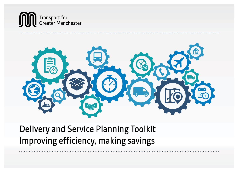



Delivery and Service Planning Toolkit Improving efficiency, making savings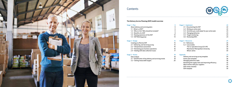

### **Contents**



#### **The Delivery Service Planning (DSP) tooklit overview**

6

8

| Stage $1 -$ Plan                             | 6  |
|----------------------------------------------|----|
| About delivery and servicing plans           | 6  |
| $1.1 - What is a DSP?$                       | 6  |
| 1.2 – Who is it for? Who should be included? | 6  |
| $1.3$ – Benefits of a DSP                    | 8  |
| $1.4$ – Raising awareness of the DSP         | 14 |
| 1.5 – DSP Working group                      | 14 |
|                                              |    |

#### Stage 2 – Design 15

| Creating an effective DSP                   | 15 |
|---------------------------------------------|----|
| 2.1 – Delivering and Servicing survey       | 15 |
| 2.2 – Site/premises assessment              | 16 |
| 2.3 – Reviewing your business operations    | 16 |
| $2.4$ – Dealing with data collection issues | 17 |
| Stage 3 – Assess                            | 18 |
| Data analysis                               | 18 |

| $3.1$ – Identification of key delivery and servicing trends | 18 |
|-------------------------------------------------------------|----|
| $3.2$ – Setting measurable targets                          | 20 |

| Stage 4 - Implement                                   | 22 |
|-------------------------------------------------------|----|
| 4.1 - Documenting the DSP                             | 22 |
| $4.2 - W$ riting an action plan                       | 22 |
| 4.3 - Activities you could adopt for your action plan | 23 |
| 4.4 – Managing deliveries                             | 23 |
| $4.5 -$ Target monitoring                             | 23 |
| 4.6 – Reviewing DSPs                                  | 23 |
| Stage 5 - Resources                                   | 24 |
| 5.1 – References                                      | 24 |
| $5.2$ – Case studies                                  | 26 |
| The Co-operative Group (CO-OP)                        | 26 |
| Manchester Metropolitan University                    | 58 |
| Wilson James                                          | 30 |
| <b>Appendix</b>                                       | 33 |
| Delivery and servicing survey template                | 34 |
| Action plan template                                  | 36 |
| Managing deliveries table                             | 38 |
| Reviewing the supply chain and improving efficiency   | 42 |
| Work smarter with your suppliers                      | 53 |
| <b>DSP review checklist</b>                           | 56 |
| DSP template                                          | 59 |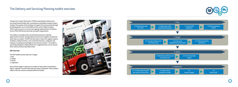Transport for Greater Manchester (TfGM) has developed a Delivery and Servicing Planning Toolkit after receiving local sustainable transport project funding. The purpose of the funding is to support the local economy through promoting greater use of sustainable and low carbon freight transport. TfGM's long-term aim is to ensure the ongoing implementation of Delivery Service Plans (DSPs) by local private and public organisations.

The toolkit is accessible online and will help businesses to identify opportunities to better manage deliveries and ensure supplies are delivered when they are needed. The DSP will also help to reduce the negative impacts of delivery-related activities, such as harmful emissions, congestion and collisions, including moving freight on low emission vehicles. The toolkit is specifically designed to target deliveries in congested areas such as city and town centres as well as key radial routes.

#### **DSP Overview**

- The DSP toolkit has been split into 4 stages:
- 1. Plan
- 2. Design
- 3. Assess
- 4. Implement

Each of these stages is made up of a number of steps which are detailed in Figure 1 opposite. You will notice that each step is numbered. These numbers relate to the sub-sections contained within this toolkit.





## The Delivery and Servicing Planning toolkit overview

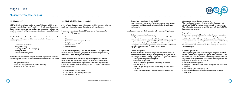### Stage 1 – Plan

### About delivery and servicing plans

- Conducting any meetings to do with the DSP
- Liaising with other staff members/suppliers/contractors/neighbouring businesses who might be associated with the DSP and its effective implementation.

In addition you might consider involving the following people/departments:

- Contract management and procurement This department will be involved with the enforcement of the DSP requirements through any contracts held with suppliers and contractors. They can influence how suppliers work together and how they work towards meeting the targets of the DSP. They will have developed a working relationship with suppliers and contractors and so will be able to highlight any problems they have when visiting the site.
- Facilities management

It is important for the facilities management team to be consulted as they are involved in both strategic planning and day-to-day operations, particularly in relation to buildings and premises. They can help with the:

- Collecting of delivery and servicing data
- Allotment of storage space
- Setting up of booking systems and ensure they are used and monitored correctly
- Locating of legal loading areas and whether they are being utilised effectively
- Ensuring the laws attached to the legal loading areas are upheld.
- Marketing and communications management These are the people tasked with communicating the purpose and objectives of the DSP to staff along with how it will be implemented. They will also be instrumental in highlighting how effective the DSP has been in reaching its targets.
- Key suppliers and contractors

It is important to consult with suppliers and contractors because they are the companies making the deliveries and conducting the servicing activities. They will be able to provide invaluable information on how current operations are performing from their perspective and how things could be improved upon. They will also be best positioned to advise how the new requirements can be implemented efficiently with minimum cost and disruption.

It is important to understand that a DSP is not just for the occupiers of an operational site<sup>1</sup>. It is also for:

• Neighbouring businesses

There may be scope to collaborate with neighbouring businesses that share the same building as you or who operate in the same area. These businesses may have similar delivery and servicing activities and issues as your own. You might be able to work with other building tenants and neighbours in a number of ways including:



- Procuring the same suppliers
- Using the same service providers to manage your waste and cleaning contracts
- Establishing a joint booking in system
- Ensuring suppliers consolidate deliveries to yourself and your neighbours.

#### **1.1 – What is a DSP?**

A DSP could help to make your deliveries more efficient and reliable whilst saving you money in the process. They will also help to improve the quality of the environment around your business by reducing congestion, collisions and emissions; ultimately making the area more attractive to people who live, work and visit there.

A DSP facilitates the analysis and identification of areas where improvements can be made to delivery and servicing movements taking place at your premises. It covers:

- Goods deliveries/collections
- Catering and vending
- The management of waste and recycling
- Servicing activities
- Construction site management.

It doesn't matter how small or large your business is, if you receive deliveries, and servicing activities take place at your premises then a DSP can help you to:

- Manage deliveries better
- Review your supply chain and improve its efficiency
- Work smarter with your suppliers.

#### **1.2 – Who is it for? Who should be included?**

A DSP is for any site that receives deliveries and servicing activity, whether it is public or private, small or large or shared by multiple organisations.

- Developers
- Site occupiers
- Site users (owners, managers, staff etc)
- Freight operators/suppliers
- Local residents
- Local authorities.

If you are considering creating a DSP then please let the TfGM Logistics and Environment Team know as they might be interested in writing a case study about how it has benefitted your organisation.

In order for the DSP to be successfully implemented you should consider nominating a DSP coordinator/champion. This should be a senior member of staff who has the knowledge, expertise and authority to implement the changes and measures recommended by the DSP. The coordinator/champion will be charged with:

- Making sure any targets are met
- The baseline data gathering and analysis
- Implementing the DSP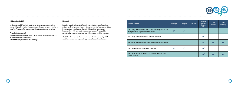

#### **1.3 Benefits of a DSP**

Implementing a DSP can help you to understand more about the delivery and servicing activity taking place at your premises and can yield a number of benefits. These benefits have been split into three categories as follows:

#### **Financial** (reduces costs)

**Environmental** (Improves air quality and quality of life for local residents, reduces greenhouse gas emissions)

**Operational** (improves business efficiency)

#### **Financial**

Reducing costs is an important factor in improving the state of a business and can result in higher profits and a stronger enterprise. Where competition is high, cost can often become the main differentiator in the market. Implementing a DSP can help to increase your company's competitive advantage by reducing the costs of your deliveries and servicing activities.

The table below presents the financial benefits that implementing a DSP could have on your own organisation, your suppliers and stakeholders.



| <b>Financial benefits</b>                                                                                     | Developer | Occupier | Site user | Freight<br>operator/<br>supplier | Local<br>resident | Local<br>authority |
|---------------------------------------------------------------------------------------------------------------|-----------|----------|-----------|----------------------------------|-------------------|--------------------|
| Cost savings from reviewing internal procurement practices and<br>through contract negotiation with suppliers |           |          |           |                                  |                   |                    |
| Fuel savings realised from faster and fewer deliveries                                                        |           |          |           |                                  |                   |                    |
| Fuel savings realised from the use of low or no emission vehicles                                             |           |          |           |                                  |                   |                    |
| Reduced delivery costs from fewer deliveries                                                                  |           |          |           |                                  |                   |                    |
| Reduced parking enforcement costs through the use of legal<br>loading locations                               |           |          |           |                                  |                   |                    |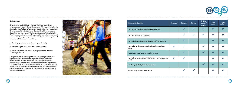#### **Environmental**

Emissions from road vehicles are the most significant cause of high pollutant concentrations in Greater Manchester. This has contributed to the designation of an Air Quality Management Area (AQMA) where national and European air quality objectives are not being achieved; it incorporates all of the major routes in the region. The Greater Manchester Air Quality Action Plan (viewable at https://www.salford.gov.uk/d/air-pollution-control-report. pdf) identifies the key priority areas where efforts to improve air quality will be focussed. TfGM aims to achieve this by:

- a. Encouraging operators to avoid areas of poor air quality
- b. Implementing the DSP Toolkit at all GM Councils' sites
- c. Introducing the DSP Toolkit as a planning requirement at all new development sites.

Taking action and implementing a DSP will help your organisation, your suppliers and your stakeholders to improve road safety and reduce the frequency of deliveries, collections and servicing activity, whilst demonstrating a commitment to sustainable environmental improvement. This will complement a reduction in overall levels of harmful pollutants (e.g. nitrous oxide, nitrogen dioxide and PM10s) released into the environment and improve our health and wellbeing. The DSP will achieve the following environmental benefits:





| <b>Environmental benefits</b>                                            | <b>Developer</b> | Occupier           | Site user          | Freight<br>operator/<br>supplier | Local<br>resident          | Local<br>authority |
|--------------------------------------------------------------------------|------------------|--------------------|--------------------|----------------------------------|----------------------------|--------------------|
| Reduced risk of collisions with vulnerable road users                    |                  | $\boldsymbol{\nu}$ |                    |                                  | $\boldsymbol{\mathcal{U}}$ |                    |
| Reduced congestion on local roads                                        |                  |                    | $\boldsymbol{\nu}$ | $\blacktriangledown$             | $\blacktriangledown$       |                    |
| Improved urban environment and quality of life for residents             |                  | V                  |                    |                                  | $\boldsymbol{\mathcal{U}}$ |                    |
| Improved air quality/lower emissions (including greenhouse<br>gases)     | $\mathbf{v}$     | $\mathbf{z}$       |                    | $\blacktriangledown$             | $\blacktriangledown$       |                    |
| Promotes the use of low or no emission vehicles                          |                  | V                  |                    | $\boldsymbol{\mathcal{U}}$       | V                          |                    |
| Improved waste management including less waste being sent to<br>landfill | $\mathbf{v}$     | $\mathbf{z}$       |                    |                                  | $\blacktriangledown$       |                    |
| Less damage to the highways infrastructure                               |                  |                    |                    | $\boldsymbol{\mathcal{U}}$       | V                          |                    |
| Reduced noise, vibration and nuisance                                    |                  |                    |                    |                                  | V                          |                    |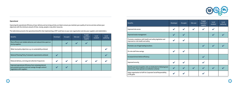

#### **Operational**

Improving the operational efficiency of your delivery and servicing activity can help to ensure you maintain your quality of service and also achieve your objectives with the minimum amount of time, money, people or any other resources.

The table below presents the operational benefits that implementing a DSP could have on your own organisation and also your suppliers and stakeholders.

| <b>Benefits</b>                                                                                                                                  | <b>Developer</b>        | <b>Occupier</b> | Site user          | Freight<br>operator/<br>supplier | Local<br>resident | Local<br>authority |
|--------------------------------------------------------------------------------------------------------------------------------------------------|-------------------------|-----------------|--------------------|----------------------------------|-------------------|--------------------|
| More efficient and reliable deliveries and reduced time spent on<br>site by suppliers                                                            |                         |                 |                    |                                  |                   |                    |
| Wider local policy objectives e.g. on sustainability achieved                                                                                    |                         |                 |                    |                                  |                   |                    |
| National Planning Policy Framework requirements achieved                                                                                         |                         |                 |                    |                                  |                   |                    |
| Reduced delivery, servicing and collection frequencies                                                                                           | $\overline{\mathbf{v}}$ | V               | $\boldsymbol{\nu}$ | $\boldsymbol{\nu}$               |                   |                    |
| Improved operational efficiency from reviewing internal<br>procurement practices and cost savings through contract<br>negotiation with suppliers |                         |                 |                    |                                  |                   |                    |



| <b>Benefits</b>                                                                                                         | <b>Developer</b>           | Occupier           | Site user          | Freight<br>operator/<br>supplier | Local<br>resident | Local<br>authority |
|-------------------------------------------------------------------------------------------------------------------------|----------------------------|--------------------|--------------------|----------------------------------|-------------------|--------------------|
| Improved site access                                                                                                    | $\blacktriangleright$      |                    |                    |                                  |                   |                    |
| Improved waste management                                                                                               | V                          |                    |                    |                                  |                   |                    |
| Promotes compliance with health and safety legislation and<br>improved on-site health and safety                        |                            | $\boldsymbol{\nu}$ |                    |                                  |                   |                    |
| Promotes use of legal loading locations                                                                                 |                            |                    |                    |                                  |                   |                    |
| On-site staff time savings                                                                                              | $\blacktriangleright$      |                    |                    |                                  |                   |                    |
| Increased driver/vehicle efficiency                                                                                     |                            |                    |                    |                                  |                   |                    |
| Improved security                                                                                                       | $\blacktriangleright$      |                    |                    |                                  |                   |                    |
| Identify operators/suppliers who are dedicated to following best<br>practice (e.g. fleet operator accreditation scheme) | $\boldsymbol{\mathcal{U}}$ |                    | $\boldsymbol{\nu}$ |                                  |                   |                    |
| Helps organisation to fulfil its Corporate Social Responsibility<br>(CSR) goals                                         |                            |                    |                    |                                  |                   |                    |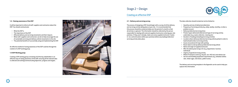

#### **1.4 – Raising awareness of the DSP**

It will be important to inform all staff, suppliers and contractors about the DSP. You should communicate:

- What the DSP is
- The importance of the DSP
- Affected delivery and servicing movements and their impacts
- What staff, suppliers and contractors can do to help encourage the use of sustainable servicing and delivery vehicle movements to the site
- The potential benefits of successfully using and implementing the DSP.

An effective method of raising awareness of the DSP could be through the creation of a DSP working group.

#### **1.5 DSP Working group**

Creating a DSP working group consisting of all the key stakeholders is an effective way of raising awareness of the DSP, ensuring all the relevant data is collected and setting/communicating objectives, progress and targets.



#### **2.1 – Delivery and servicing survey**

The process of designing a DSP should begin with a survey of all the delivery and servicing activity taking place at your site. It is recommended that this process should be conducted daily over the period of a month so that all activity is captured. The information should be collected by the person responsible for dealing with external suppliers/contractors entering your site premises. If they aren't already, make sure every supplier/contractor 'booksin' at a central location within your premises before any loading/collection/ servicing activity takes place.



The data collection should include but not be limited to:

- Quantity and size of deliveries/collections
- Frequency of servicing activity (e.g. daily, weekly, monthly, or when a problem occurs)
- Delivery/collection/servicing times
- Product types delivered/collected and type of servicing activity undertaken (e.g. waste collection, cleaning etc)
- Duration of loading/unloading/servicing activities
- Location where delivery/collection/servicing vehicle parked in order to load/unload/conduct servicing activity
- Issues encountered (if any) with parking
- Route taken to site by delivery/collection/servicing vehicle
- Name and origin of supplier/contractor
- Who the delivery/servicing is for (e.g. department, function, individual)
- Urgency of goods/servicing activity

- Mode of transport used (e.g. bicycle, van, HGV etc) and vehicle size
- Service and handling equipment requirements (e.g. wheeled clothes rails, metal cages, tote boxes, pallet trucks).

The delivery and servicing template in the Appendix can be used to help you capture this information.

### Stage 2 – Design

### Creating an effective DSP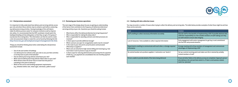

#### **2.2 – Site/premises assessment**

It is important to fully understand how delivery and servicing vehicles access your site and where these vehicles stop to unload or park before conducting any delivery/servicing activities. Having knowledge of this will help to make the delivery process easier for everyone involved as well as improve site safety. It is recommended that the DSP coordinator should watch the loading/unloading activity taking place so that they can get a firm grasp of exactly how this is being done. This information can then be used to create a site risk assessment (help to create this can be found by following the link **http://www.hse.gov.uk/workplacetransport/management/risk.htm**).

Things you should be thinking about when undertaking the site/premises assessment include:

- Size of site and number of buildings
- Can delivery/service vehicles enter your site to carry out their activities or do they have to park at the kerbside?
- How do delivery/servicing vehicles enter/leave your site?
- What route do delivery/servicing vehicles follow when on your site?
- What distance does the driver have to travel from the point of unloading to the point of delivery?
- What are the service and handling equipment requirements (e.g. wheeled clothes rails, metal cages, tote boxes, pallet trucks)?

You may encounter a number of issues when trying to collect the delivery and servicing data. The table below provides examples of what these might be and how these can be overcome.

#### **2.3 – Reviewing your business operations**

The next stage of the design phase focuses on gaining an understanding of the factors that contribute to the frequency of deliveries/collections/ servicing activity at your site. Questions you should be asking include:

- What factors affect the delivery/collection/servicing frequencies?
- Who is responsible for making the daily orders?
- Who is responsible for awarding contracts and what processes are involved?
- Is there space to provide additional storage?
- Which contracts are open for renegotiation and/or due for renewal?
- Is the route to your site and its actual location communicated effectively to suppliers?
- What costs are attached to high volume billing and invoicing (e.g. how much does it cost to process or pay an invoice)?
- Is there scope for reducing administrative processing time for payment of bills (e.g. can payments be consolidated into one monthly payment each month)?





#### **2.4 – Dealing with data collection issues**

| <b>Issue</b>                                                                             | Solution                                                                                                                                                                                                     |
|------------------------------------------------------------------------------------------|--------------------------------------------------------------------------------------------------------------------------------------------------------------------------------------------------------------|
| Staff unwilling to collect necessary information accurately                              | Educate staff on the benefits of implementing a DSP. If possible dedicate data<br>collection responsibility to a few suitable members of staff making sure they<br>are well trained to ensure data integrity |
| Lack of resources / time available to collect required information                       | Early engagement with senior management to get buy in and commitment<br>into the DSP and promote benefits                                                                                                    |
| Departments unwilling to communicate with each other, or divulge required<br>information | Arrange meeting with all key members of management and communicate<br>advantages of implementing a DSP                                                                                                       |
| No central location set up where suppliers / contractors can 'book in'                   | Set up a central receiving point and make sure this is manned by suitably<br>trained members of staff                                                                                                        |
| Drivers unable to provide details of the items being delivered                           | Ensure all other fields on the delivery survey are completed. Approach person<br>who delivery is for and ask them what it is. If item is not business related,<br>mark it as 'personal'                      |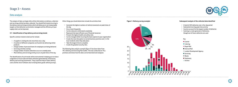The analysis of data can begin after all the information on delivery, collection and servicing activity has been collected. You should find trends occurring in the delivery and servicing activities which will allow you to set measureable targets so that deliveries can be better managed and the efficiency of your supply chain can be improved.

#### **3.1 – Identification of key delivery and servicing trends**

Specific common trends to look out for include:

- A supplier is visiting the site more than once a day
- A number of different companies are found to be delivering similar products
- A large number of personal items for employees are being delivered
- Servicing activities overlap
- A large number of waste collections occur on a weekly basis
- Most delivery and servicing activity occurs at peak times of the day.

The identification of such trends will be instrumental in helping you to reduce congestion on local roads and lower emissions generated by unnecessary delivery and servicing movements. They could also help to lower delivery costs and the risk of collisions due to having fewer goods vehicle journeys.

Other things you should determine include the activities that:

- Generate the highest numbers of vehicle movements at peak times of the day
- Occur most frequently

- Can be reduced or eliminated completely
- Represent the least efficient use of financial resources
- Present the highest health and safety risks
- Can be changed whilst incurring the least expense to your organisation
- Create the most disruption to normal business practices and / or the local residents when they take place
- Take the longest time to complete
- Create the greatest security risks.

The following data analysis example (figure 1) has been taken from TfL's Delivery and Servicing Plan toolkit. This was conducted on TfLs premises and shows how the data can be illustrated and analysed.



### Stage 3 – Assess

### Data analysis

#### **Figure 1. Delivery survey example: Subsequent analysis of the collected data identified**



### $\frac{1}{2}$  19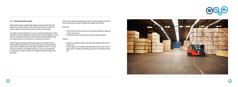

#### **3.2 – Setting measurable targets**

Above all the targets should be kept simple and clearly relate to the key objectives you wish to achieve. They should also be easy to monitor and measure against the baseline data and be realistic and achievable.

You might consider setting them over short, medium and long terms as this will help to focus the organisation and ensure the required changes to current practices are followed through. Seasonal variations affecting delivery and servicing activity such as Christmas etc could also be factored in.

Specific targets will be determined depending on the findings from the initial baseline data gathered. For instance you may be presented with the opportunity to address some of the targets detailed in section 1.3 such as having more efficient and reliable deliveries. In order to accomplish this you may want to create a number of sub-targets to make this target more achievable.

Given a main target of reducing the time spent on site by suppliers by 25% in the next two years examples of suitable sub-targets could include:

Outcomes:

- A 15% reduction in the time spent on site by parcel delivery companies in the next two years
- A 20% reduction in the time spent on site by catering suppliers.

**Outputs** 

- Introduce a booking-in system which provides suppliers with a timed delivery slot
- Ensure suppliers are emailed a map detailing the site location, access / egress points, loading and unloading areas and recommended route to site.



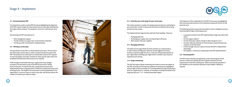

#### **4.1 – Documenting the DSP**

It is important to create a central DSP document highlighting the objectives of the DSP, specific targets for improvement and an action plan detailing how the targets will be achieved. The template in Section 5.2 will help you to do this.

Documenting the DSP may help you to:

- Elicit management support
- Provide evidence to support your environmental credentials
- Provide you with a framework for implementation.

#### **4.2 – Writing an action plan**

The key element of any DSP is a clearly defined action plan. This document lists what steps must be taken in order to achieve the specific goals of the DSP. The purpose of an action plan is to clarify what resources are required to reach the goal(s), formulate a timeline for when specific tasks need to be completed and determine what resources are required.

TfGM strongly recommends that if your organisation only manages to produce one document as part of the DSP process then it should be the action plan. It is better that this is produced and used to drive implementation than a long plan which is difficult to understand and put into working practice. The length of the action plan is entirely dependent on the organisation, it can be as long or as short as you like, and directly reflects the number of activities you choose to adopt.





### Stage 4 – Implement

#### **4.3 – Activities you could adopt for your action plan**

This section presents a number of example measures that you could adopt in your action plan in order to improve the efficiency of delivery and servicing activity and save money.

The implementation stage has been split into three headings. These are:

- Managing deliveries
- Reviewing your supply chain and improving its efficiency
- Work smarter with your suppliers.

#### **4.4 – Managing deliveries**

The table over the page details all of the activities you could introduce in order to better manage your deliveries and all suggests how these activities could be brought into force. It also lists the potential benefits to your organisation and things you might need to consider if you choose to implement each activity.

#### **4.5 –Target monitoring**

The DSP will require regular monitoring and review to ensure the targets of the DSP are being met and that any problems encountered are highlighted and put right as soon as possible. It is recommended that target monitoring is done on a regular basis i.e. monthly, six monthly or annually and linked to the target periods set in "3.2 – Setting measurable targets".

The frequency of this is dependent on the DSP. If any issues are highlighted then necessary improvements can be made by focusing staff efforts on that particular area.

The following questions may need to be asked in order to mitigate any issues found during the target monitoring process:

- Is everyone involved in the DSP implementation stage clear about their tasks?
- Are the targets realistic?

- Are the timescales realistic enough to allow change to occur?
- Are there effective methods of communication in place between key members of the DSP team?
- Is there enough resource in place to ensure the DSP is implemented adequately?
- Are suppliers / contractors cooperating in the DSP implementation?

#### **4.6 – Reviewing DSPs**

The DSP review checklist (see appendix) can be used during the review process to make sure nothing has been forgotten and that all of the requirements of the DSP are being met. Please note that the questions in the checklist are not exhaustive questions may be added / deleted as required.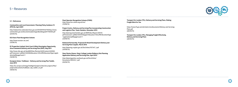

#### **5.1 – References**

#### **Communities and Local Government, Planning Policy Guidance 13 (PPG13), April 2001**

http://webarchive.nationalarchives.gov.uk/20120919132719/http://www. communities.gov.uk/documents/planningandbuilding/pdf/1758358.pdf (25/05/15).

#### **ECO Stars Fleet Recognition Scheme**

http://www.ecostars-uk.com/ (15/06/15)

#### **EC Properties Limited, Earls Court & West Kensington Opportunity Area Framework Delivery and Servicing Plan (DSP), May 2011**

http://www.rbkc.gov.uk/idoxWAM/doc/Revision%20Content-840062. pdf?extension=.pdf&id=840062&location=VOLUME2&contentType=applic ation/pdf&pageCount=1 (16/06/15)

#### **European Union, Trailblazer – Delivery and Servicing Plan Toolkit, June 2013**

https://ec.europa.eu/energy/intelligent/projects/sites/iee-projects/files/ projects/documents/trailblazer\_dsp\_toolkit\_en.pdf (19/05/15)

**Fleet Operator Recognition Scheme (FORS)** http://www.fors-online.org.uk/cms/ (15/06/15)

#### **Project Centre, Delivery and Servicing Plan incorporating Construction and Logistics Plan, Tower Hamlets, December 2013**

http://planreg.towerhamlets.gov.uk/WAM/doc/Report-845151. pdf?extension=.pdf&id=845151&appid=&location=VOLUME5&contentType =application/pdf&pageCount=1 (23/06/15)

#### **Redwood Partnership, Proposed A1 Retail Development Delivery and Servicing Plan Croydon, March 2012**

http://planning.croydon.gov.uk/DocOnline/107347\_1.pdf (24/06/15)

#### **Steer Davies Gleave, King's College London Mulberry Site Planning Application Delivery and Servicing Plan, April 2013**

http://planningonline.southwark.gov.uk/DocsOnline/ Documents/300443\_1.pdf (03/06/15)



**Transport for London (TfL), Delivery and Servicing Plans, Making Freight Work for You**

https://www.tfl.gov.uk/cdn/static/cms/documents/Delivery-and-Servicing-Plans.pdf (28/05/15)

**Transport for London (TfL), Managing Freight Effectively, Delivery and Servicing Plans** (28/05/15)

### 5 – Resources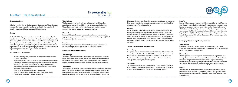

#### **Co-operative Group**

A Delivery Service Plan for the Co-operative Group's head office and support centre at One Angel Square in Manchester resulted in the reduction of negative impacts on delivery-related activities to the site.

#### **Summary**

As the UK's fifth biggest food retailer with a food store in every UK postal area, the Co-operative Food is the country's leading community food retailer. It has over 2,800 stores across the UK and serves 14.5m customers per week The organisation conducted a risk assessment and created a detailed map of the delivery location, revised delivery times, reduced the number of road trips, improved its waste management programme and developed the use of legal loading activities at One Angel Square in Manchester.

#### **Key results and achievements**

- Reduced the frequency of deliveries from a potential 10 per week to an actual 5 per week
- Produced a detailed risk assessment/map of the site which determines safest/legal route to the store, parking restrictions, maximum vehicle size restrictions, access/egress points, loading time restrictions, checks to be conducted before departure restrictions, checks to be conducted before departure
- Reduced carbon footprint and service charge costs
- Reduced the number of waste collections from store by 100%
- Eliminated all deliveries to store at peak-times.

#### **The challenge**

The Co-operative previously delivered to its canteen facilities at One Angel Square however; in April 2014 a new store was launched on site. The challenge now was to service both the canteen and the store at the same time with as few delivery vehicles as possible.

#### **The solution**

By consolidating both canteen and store deliveries onto one vehicle, the aggregate cage volumes allowed them to deliver product categories (chilled, frozen, ambient) on the same vehicle.

#### **Benefits**

Consolidating these deliveries allowed the frequency of deliveries to be reduced from a potential 10 per week to an actual five per week.

#### **Raising awareness of site location**

#### **The challenge**

The nature of its convenience business means the Co-operative has many stores in residential areas or near schools. The stores can often be difficult to find, hard to manoeuvre in and out of and require the driver to follow a specific route to minimise the risk of collisions with vulnerable road users.

#### **The solution**

The Co-operative conducts a risk assessment on every store before deliveries begin, this assessment determines the safest/legal route to store, parking / loading restrictions, vehicle size restrictions, access/egress points, checks needed before departure and any other parameters needed to finalise the



delivery plan for the store. This information is recorded on a risk assessment database and available for drivers to access to ensure they are fully briefed before they set off to make a delivery.

#### **Benefits**

Raising awareness of the sites has helped the Co-operative to direct the delivery vehicle away from high densities of vulnerable road users and ensures deliveries are more efficient and reliable. In addition, it minimises the risk of sending an incorrectly sized vehicle to site at the wrong time and prevents the driver getting lost. It also helps to prevent vehicles parking illegally and incurring Penalty Charge Notices, and improves on-site health and safety.

#### **Conducting deliveries at off-peak times**

#### **The challenge**

As a general rule when a store is near a residential area, deliveries are not planned before 07:00 or after 19:00-20:00, and if a store is near a school deliveries during the peak times of 08:00-09:00 and 14:30-16:00 (or iterations around those times) are also avoided. There are exceptions, although these are the general rules applied.

#### **The solution**

The Co-operative delivers to One Angel Square in the evenings five days a week. They use Paragon planning software to route all deliveries and hold all restrictions data to ensure the rules are consistently applied.

#### **Benefits**

Evening deliveries ensure excellent fresh food availability for staff from the time the store opens. Delivering during off-peak times also means the driver has less congestion to deal with which in turn makes the deliveries more efficient and reliable. Evening deliveries also allow the company to spread volume across the full 24hr period and utilise vehicles that would otherwise be parked up at night thus taking deliveries away from the peak delivery times in the morning. This reduces the amount of fleet vehicles required to deliver to their store base.

#### **Developing the use of legal loading locations**

#### **The challenge**

One Angel Square has a loading bay, but not all stores do. This means sometimes delivery vehicles can struggle to park legally which could result in Penalty Charge Notices being issued.

### **The solution**

The Co-operative works closely with the estate services department who manage the acquisition of new stores and the disposal of old stores. Estate services review potential new store locations and engage relevant key stakeholders (legal, retail, logistics) to establish if the new sites are feasible. This ensures the Co-operative can deliver legally and safely to all stores.

### **Benefits**

The collaboration with estate services allows the Co-operative to request loading bays and other facilities to assist in making a safe delivery early on in the store project stage, avoiding disruption to the store/customers once trading begins.

### Case Study – The Co-operative Food

The co-operative food

Here for you for life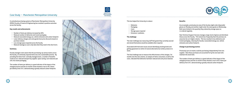

A centralised purchasing system at Manchester Metropolitan University (MMU) Faculty of Science & Engineering has resulted in positive outcomes across the faculty.

#### **Key results and achievements**

- Number of items per delivery increased by 36%
- Reduced number of deliveries and transit packaging
- Reduced associated energy use, vehicle emissions and carbon footprint
- Lower delivery charges and some goods have price discounts based on purchase volume
- Less storage space required across the faculty
- Reduced wastage as users only take what they need in the short term.

#### **Summary**

Faculty managers were aware that the purchasing, by various teams across the faculty, of commonly required items was not a sustainable practice. By providing the items from centrally managed stock, a number of benefits could accrue: reduced transport by supplier; space saving; cost reduction per unit; less waste packaging.

The number of items per delivery is a good indicator of the impact of the changed practice and the six month review showed a rise to 46.5 items per delivery from 34.1, demonstrating a greatly reduced carbon footprint.





This has helped the University to reduce:

- Deliveries
- Packaging
- Costs
- Storage space required
- Emissions / pollution.

#### **The challenge**

The main challenge was reassuring staff that goods they currently sourced and stored themselves would be available when required.

Associated with that were issues around identifying stocking levels and getting agreement on which of several alternative but similar products to stock.

The final challenge was to measure the effectiveness of the changes. Six months into the new scheme, an analysis of items consumed, as well as the costs, indicated that deliveries had been reduced and unit prices lowered.

#### **Benefits**

As an example, previously one area of the faculty might order disposable gloves on Monday and another might order the same goods on Wednesday. Both were limited in the quantity they ordered by storage space so re-ordered regularly.

Now Technical Support Services manage a large stock of gloves and distribute these across the Faculty. TSS restock less frequently than the previous six areas but do so in higher volume. This has resulted in less deliveries and transit packaging, reducing the faculty's associated energy use, vehicle emissions and carbon footprint.

#### **Change in purchasing practice**

Previously up to six teams could be purchasing independently from one supplier. Now these purchases are accounted for by the one team who maintain the stock held.

The number of items per delivery is a good indicator of the impact of the changed practice and the six month review showed a rise to 46.5 items per delivery from 34.1, demonstrating a greatly reduced carbon footprint.



### Case Study – Manchester Metropolitan University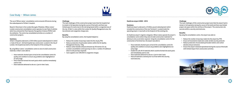



The use of Wilson James' consolidation centre ensured efficiencies during the redevelopment of St Bart's hospital.

Based in Silvertown in the London Borough of Newham, Wilson James' London construction consolidation centre operates its own fleet of vehicles which has achieved the Fleet Operator Recognition Scheme (FORS) Gold Accreditation. The centre has consolidated activities on a number of construction projects.

#### **Summary**

St Bart's Hospital underwent a £330 million pound redevelopment in which a 'state of the art', 322 bed hospital was constructed. Located in the City of London, the hospital was built on the footprint of the existing site.

By using Wilson James' consolidation centre to store its bulk construction materials, St Bart's were able to:

- Have materials checked upon arrival at the consolidation centre for quality and condition to ensure any problems were highlighted at an early stage
- Have materials formed into work packs which could be immediately used on site
- Have materials delivered to site on a 'just-in-time' basis.

#### **Challenge**

The main challenges of this construction project were that the hospital had to remain in full operation during the course of the build, and there was limited space for works due to the site being based within a congested area of the city. St Bart's is also within the London Air Quality Management area, the low emission and congestion charge zone.

#### **Benefits**

By using the consolidation centre, the hospital helped to:

- Reduce the number of journeys made into the city by 76%
- Reduce production of particulate matters within the Air Quality Management Area by ~21kg
- Reduce carbon dioxide exhaust emissions by 155 tonnes  $CO<sub>2</sub>$  eq (London consolidation centre journeys to site vs. number of traditional direct to site journeys required)
- Save suppliers over £89,000 in congestion charges.

#### **Heathrow airport 2008 – 2014**

#### **Summary**

Heathrow airport underwent a £5 billion pound redevelopment which included the construction of the new Terminal 2. Located inside the operating airport, it was built on the footprint of the existing site.

As Heathrow airport's logistics integrator, Wilson James operate the airport's consolidation centre where they store its bulk construction materials for delivery to site as and when required. Using the consolidation centre for the construction of terminal two, the airport was able to:

- Have materials checked upon arrival at the consolidation centre for quality and condition to ensure any problems were highlighted at an early stage
- Enable the call-off of materials which could be formed into work packs and immediately used on site
- Have materials delivered to site on a 'just-in-time' basis
- Have all materials screened prior to arrival within the security restricted area.

#### **Challenge**

The main challenges of this construction project were that the airport had to remain in full operation during the course of the build and there was limited project site space within the confines of the airport. The construction site was also within a security restricted area.

#### **Benefits**

By using the consolidation centre, the airport was able to:

- Reduce the number of journeys made into the airport by 70%
- Ensure all movements made were under airside security protocols
- Reduce production of associated particulate matters and carbon dioxide exhaust emissions
- Ensure the airport remained operational during the course of the build with limited impact from construction activities.





### Case Study – Wilson James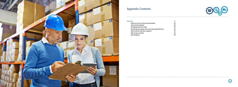

# Appendix Contents



| <b>Appendix</b>                                     | 33 |
|-----------------------------------------------------|----|
| Delivery and servicing survey template              | 34 |
| Action plan template                                | 36 |
| Managing deliveries table                           | 38 |
| Reviewing the supply chain and improving efficiency | 42 |
| Work smarter with your suppliers                    | 53 |
| <b>DSP review checklist</b>                         | 56 |
| DSP template                                        | 59 |
|                                                     |    |

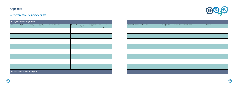

# Appendix

# Delivery and servicing survey template

| Delivery and servicing survey template     |                             |                        |                         |                              |                                                      |                                                   |                                         |
|--------------------------------------------|-----------------------------|------------------------|-------------------------|------------------------------|------------------------------------------------------|---------------------------------------------------|-----------------------------------------|
| Date                                       | Vehicle<br>registration no. | Time in<br>(24h clock) | Time out<br>(24h clock) | Name of supplier /contractor | Parking location<br>(e.g. car park, loading bay etc) | Vehicle type (e.g. bicycle, car,<br>van, HGV etc) | No. of items<br>(boxes, packets<br>etc) |
|                                            |                             |                        |                         |                              |                                                      |                                                   |                                         |
|                                            |                             |                        |                         |                              |                                                      |                                                   |                                         |
|                                            |                             |                        |                         |                              |                                                      |                                                   |                                         |
|                                            |                             |                        |                         |                              |                                                      |                                                   |                                         |
|                                            |                             |                        |                         |                              |                                                      |                                                   |                                         |
|                                            |                             |                        |                         |                              |                                                      |                                                   |                                         |
|                                            |                             |                        |                         |                              |                                                      |                                                   |                                         |
|                                            |                             |                        |                         |                              |                                                      |                                                   |                                         |
| NB - Please ensure all boxes are completed |                             |                        |                         |                              |                                                      |                                                   |                                         |





| Item description or servicing activity undertaken | Delivery / servicing<br>recipient? | Is delivery / servicing urgent? (provide details if urgent | <b>Received by</b> |
|---------------------------------------------------|------------------------------------|------------------------------------------------------------|--------------------|
|                                                   |                                    |                                                            |                    |
|                                                   |                                    |                                                            |                    |
|                                                   |                                    |                                                            |                    |
|                                                   |                                    |                                                            |                    |
|                                                   |                                    |                                                            |                    |
|                                                   |                                    |                                                            |                    |
|                                                   |                                    |                                                            |                    |
|                                                   |                                    |                                                            |                    |
|                                                   |                                    |                                                            |                    |

 $\begin{minipage}{0.03\textwidth} \begin{minipage}{0.03\textwidth} \begin{minipage}{0.03\textwidth} \begin{minipage}{0.03\textwidth} \begin{minipage}{0.03\textwidth} \begin{minipage}{0.03\textwidth} \begin{minipage}{0.03\textwidth} \begin{minipage}{0.03\textwidth} \begin{minipage}{0.03\textwidth} \begin{minipage}{0.03\textwidth} \begin{minipage}{0.03\textwidth} \begin{minipage}{0.03\textwidth} \begin{minipage}{0.03\textwidth} \begin{minipage}{0.03\textwidth} \begin{minipage}{0.0$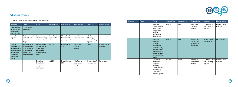

The template below can be used to document your action plan.

| Objective                                                                                                                            | <b>Target</b>                                                                                                 | <b>Action</b>                                                                                          | <b>Delivered from</b>                             | Completed by                                              | Responsibility                            | <b>Resources</b>                                                         | <b>Funding source</b>        |
|--------------------------------------------------------------------------------------------------------------------------------------|---------------------------------------------------------------------------------------------------------------|--------------------------------------------------------------------------------------------------------|---------------------------------------------------|-----------------------------------------------------------|-------------------------------------------|--------------------------------------------------------------------------|------------------------------|
| Linked to early<br>sections of the<br>Delivery and<br><b>Servicing Plan</b>                                                          | To be finalised<br>with business                                                                              |                                                                                                        |                                                   |                                                           |                                           |                                                                          |                              |
| Linked to<br>objectives                                                                                                              | List a number of<br>actions to help<br>achieve your<br>target                                                 | State when you<br>will start working<br>on these actions                                               | State when these<br>actions will be<br>delivered. | Who will lead on<br>this from within<br>your organisation | Indicative<br>costs/resources<br>required | <b>Potential sources</b><br>of funding /<br>internal funding<br>required |                              |
| e.g. Identify<br>deliveries that<br>could be reduced,<br>re-timed or even<br>consolidated,<br>particularly<br>during busy<br>periods | <b>Reduce number</b><br>of deliveries by<br>20% based on<br>2015 baseline<br>delivery and<br>servicing survey | Provide on-site<br>storage facilities<br>so that larger,<br>less frequent<br>deliveries can be<br>made | Sep 2015                                          | Live end of Sep<br>2015                                   | John Smith,<br>facilities<br>manager      | £3000                                                                    | Internal funding<br>required |
|                                                                                                                                      |                                                                                                               | Consolidate<br>deliveries from<br>same supplier<br>from twice a<br>week to once a<br>week              | Sep 2015                                          | Live end of Sep<br>2015                                   | Julie Peters,<br>procurement<br>manager   | No cost but staff<br>time required.                                      | None required                |





| Objective | Target | Action                                                                                                                                                       | <b>Delivered from</b> | Completed by  | Responsibility                                                       | <b>Resources</b>                                | <b>Funding source</b>        |
|-----------|--------|--------------------------------------------------------------------------------------------------------------------------------------------------------------|-----------------------|---------------|----------------------------------------------------------------------|-------------------------------------------------|------------------------------|
|           |        | Introduce<br>central delivery,<br>servicing and<br>maintenance<br>booking<br>system for all<br>departments                                                   | Oct 2015              | Nov15         | John Smith,<br><b>Facilities</b><br>Manager                          | £2,000 and staff<br>time / training<br>required | Internal funding<br>required |
|           |        | Stop staff<br>members<br>personal<br>deliveries to<br>workplace and<br>promote use of<br>drop boxes at a<br>central location<br>such as a railway<br>station | Oct 2015              | <b>Nov15</b>  | Susan Green,<br>Delivery and<br><b>Servicing Plan</b><br>Coordinator | No cost but staff<br>time required.             | None required                |
|           |        | Consolidate<br>number of<br>suppliers<br>delivering<br>similar products<br>by setting up<br>centralised<br>ordering system                                   | Nov 2015              | <b>Dec 15</b> | Julie Peters,<br>Procurement<br>Manager                              | £8,000 and staff<br>time / training<br>required | Internal funding<br>required |

## Action plan template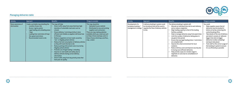



| Activity                            | Approach                                                                                                                                                                                                                                                                                               | <b>Benefits</b>                                                                                                                                                                                                                                                                                                                                                                                                                                                                                                                                                                                                                                                                                                                                 | Things to consider                                                                                                                                                                                                                                                        |
|-------------------------------------|--------------------------------------------------------------------------------------------------------------------------------------------------------------------------------------------------------------------------------------------------------------------------------------------------------|-------------------------------------------------------------------------------------------------------------------------------------------------------------------------------------------------------------------------------------------------------------------------------------------------------------------------------------------------------------------------------------------------------------------------------------------------------------------------------------------------------------------------------------------------------------------------------------------------------------------------------------------------------------------------------------------------------------------------------------------------|---------------------------------------------------------------------------------------------------------------------------------------------------------------------------------------------------------------------------------------------------------------------------|
| Raise awareness of<br>site location | Create a printable map detailing the:<br>Location of your site<br>$\bullet$<br>Access / egress points<br>$\bullet$<br>Legal loading and unloading areas<br>$\bullet$<br>/ bays<br>Loading time restrictions (if any)<br>$\bullet$<br>Site speed restrictions<br>$\bullet$<br>Recommended route to site | The map will help:<br>Direct traffic away from areas that have high<br>densities of vulnerable road users such as<br>schools<br>Ensure delivery / servicing activity is more<br>efficient and reliable as suppliers will know how<br>to find you<br>Reduce congestion on local roads caused by<br>'lost' or illegally parked vehicles<br>Reduce the fuel consumption of delivery vehicles<br>as they will travel directly to site<br>Reduce parking enforcement costs incurred by<br>illegally parked vehicles<br>Promote use of legal loading / unloading<br>Improve on-site health and safety due to<br>delivery vehicles having correct delivery<br>information<br>Divert traffic away from key priority areas that<br>have poor air quality | This map should be:<br>Uploaded to your website<br>Distributed to new and existing<br>suppliers and contractors<br>There are map making websites<br>available which you could use such<br>as https://www.zeemaps.com/or<br>https://www.click2map.com/free_<br>map_creator |

 $\, \cdot \, \, \cdot \, \, \cdot \, \, \cdot \, \, \cdot \, \, \cdot \, \, \cdot \, \, \cdot \, \, \cdot \, \, \cdot \, \, \cdot \, \, \cdot \, \, \cdot \, \, \cdot \, \, \cdot \, \, \cdot \, \, \cdot \, \, \cdot \, \, \cdot \, \, \cdot \, \, \cdot \, \, \cdot \, \, \cdot \, \, \cdot \, \, \cdot \, \cdot \, \, \cdot \, \cdot \, \cdot \, \cdot \, \cdot \, \cdot \, \cdot \, \cdot \, \cdot \, \cdot \, \cdot \, \cdot \, \cdot \, \cdot \, \cdot \, \cdot \,$ 

| <b>Activity</b>                                                | Approach                                                                                                                       | <b>Benefits</b>                                                                                                                                                                                                                                                                                                                                                                                                                                                                                                                                                                                                                                                 | Things to consider                                                                                                                                                                                                                                                                                                                                                                                                                            |
|----------------------------------------------------------------|--------------------------------------------------------------------------------------------------------------------------------|-----------------------------------------------------------------------------------------------------------------------------------------------------------------------------------------------------------------------------------------------------------------------------------------------------------------------------------------------------------------------------------------------------------------------------------------------------------------------------------------------------------------------------------------------------------------------------------------------------------------------------------------------------------------|-----------------------------------------------------------------------------------------------------------------------------------------------------------------------------------------------------------------------------------------------------------------------------------------------------------------------------------------------------------------------------------------------------------------------------------------------|
| Development of a<br>workplace booking /<br>management strategy | A delivery booking in system could<br>be introduced that will be used to<br>regulate the flow of delivery vehicles<br>to site. | The delivery booking in system will:<br>Allocate an individual time slot to each delivery<br>and so reduce congestion<br>Align loading capacity to that of the loading<br>facilities available<br>Help to manage deliveries away from peak times<br>Limit the number of deliveries taking place in<br>any given time period<br>Ensure that any legal loading times / restrictions<br>are complied with<br>Improve the urban environment for local<br>residents<br>Reduce delivery costs and improve security due<br>to having more efficient deliveries<br>Help provide scope at re-tender stage to<br>negotiate on costs due to consolidation of<br>deliveries | You could:<br>Make suppliers aware that all<br>deliveries must be booked in<br>before arrival by contacting the<br>central booking office<br>Take details of the size of delivery<br>and what it consists of. (allocate<br>bigger time slots to bigger<br>deliveries to allow unloading/<br>storing to take place)<br>Train staff on the correct usage of<br>$\bullet$<br>the booking in system to ensure<br>it is as efficiently as possible |

### Managing deliveries table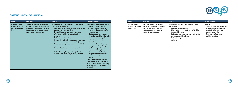

| Activity                                                                       | Approach                                                                                                                                                                             | <b>Benefits</b>                                                                                                                                                                                                                                                                                                                                                                                                                                                                                                                                                                                                                                                         | Things to consider                                                                                                                                                                                                                                                                                                                                                                                                                                                                                                                                                                                                                                                                                                                                   |
|--------------------------------------------------------------------------------|--------------------------------------------------------------------------------------------------------------------------------------------------------------------------------------|-------------------------------------------------------------------------------------------------------------------------------------------------------------------------------------------------------------------------------------------------------------------------------------------------------------------------------------------------------------------------------------------------------------------------------------------------------------------------------------------------------------------------------------------------------------------------------------------------------------------------------------------------------------------------|------------------------------------------------------------------------------------------------------------------------------------------------------------------------------------------------------------------------------------------------------------------------------------------------------------------------------------------------------------------------------------------------------------------------------------------------------------------------------------------------------------------------------------------------------------------------------------------------------------------------------------------------------------------------------------------------------------------------------------------------------|
| Arrange delivery /<br>servicing activity to<br>take place at off-peak<br>times | The DSP coordinator, procurement<br>team and suppliers should meet and<br>discuss which activities are suitable<br>to be conducted outside of peak, or<br>even normal working hours. | Arranging delivery / servicing activity to take place<br>at off-peak times will help:<br>Reduce the risk of collisions with vulnerable road<br>users as 'rush hour' is avoided<br>Ensure delivery / servicing activity is more<br>efficient and reliable as less traffic will be<br>encountered<br>Reduce congestion on local roads<br>Improve air quality / lower emissions by reducing<br>the amount of vehicles stuck in traffic jams<br>Create fuel savings due to faster more efficient<br>deliveries<br>Improve the urban environment for local<br>residents<br>Reduced Penalty Charge Notices (PCNs) due to<br>increased availability of legal loading locations | Staff may not be available on site to<br>receive out-of-hours deliveries. If<br>they aren't you might consider:<br>Having on site security staff to<br>receive goods<br>Setting up a secure location<br>where items could be delivered to<br>Working with your suppliers to<br>jointly implement out-of-hours<br>deliveries<br>Implement the booking in system<br>alongside side this activity to<br>better manage deliveries away<br>from peak delivery times<br>Working with neighbouring<br>properties who might receive<br>out-of-hours deliveries on your<br>behalf<br><b>Consultation with local residents</b><br>/ councilors is advised before this<br>activity is implemented particularly<br>where night time deliveries are<br>concerned. |



| Activity                                                      | Approach                                                                                                                                                                     | <b>Benefits</b>                                                                                                                                                                                                                                                                                                       | Things to consider                                                                                                                                                                               |
|---------------------------------------------------------------|------------------------------------------------------------------------------------------------------------------------------------------------------------------------------|-----------------------------------------------------------------------------------------------------------------------------------------------------------------------------------------------------------------------------------------------------------------------------------------------------------------------|--------------------------------------------------------------------------------------------------------------------------------------------------------------------------------------------------|
| Decrease the time<br>suppliers / contractors<br>spend on site | Introducing a booking in system,<br>providing a site map and promoting<br>off-peak deliveries will all help<br>to decrease the time suppliers /<br>contractors spend on site | Decreasing the amount of time suppliers spend on<br>site will help to:<br>Reduce on-site congestion<br>Minimise the on-site health and safety risks<br>these vehicles present<br>Reduce the amount of time your staff have to<br>spend dealing with deliveries<br>Reduce the impact on other subsequent<br>deliveries | You could:<br>Inform suppliers of your intention<br>to reduce the time they spend<br>on-site detailing how you are<br>going to achieve this<br>Train your staff on the new<br>working procedures |

## Managing deliveries table continued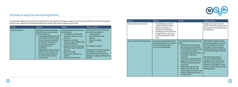



The table below details all of the activities you could introduce with regards to reviewing your supply chain and improving its efficiency. It also lists the potential benefits to your organisation and things you might need to consider if you choose to implement each activity.

| <b>Activity</b>     | Approach                                                                                                                                                                                                                                                                                                                                                                                                                                                                             | <b>Benefits</b>                                                                                                                                                                                                                                                                                                                                                                                                                                         | Things to consider                                                                                                                                                                                                                                                                                                                                                                                       |
|---------------------|--------------------------------------------------------------------------------------------------------------------------------------------------------------------------------------------------------------------------------------------------------------------------------------------------------------------------------------------------------------------------------------------------------------------------------------------------------------------------------------|---------------------------------------------------------------------------------------------------------------------------------------------------------------------------------------------------------------------------------------------------------------------------------------------------------------------------------------------------------------------------------------------------------------------------------------------------------|----------------------------------------------------------------------------------------------------------------------------------------------------------------------------------------------------------------------------------------------------------------------------------------------------------------------------------------------------------------------------------------------------------|
| Road trip reduction | Reducing the number of deliveries,<br>collections and servicing activities<br>could be achieved by:<br>Consolidating deliveries from the<br>same supplier from twice a week<br>to once a week (where possible)<br>Introducing a central delivery,<br>servicing and maintenance<br>booking system for all<br>departments<br>Stopping staff members personal<br>deliveries to the workplace and<br>promote the use of drop boxes<br>at a central location such as a<br>railway station | Having fewer delivery and servicing<br>trips will help to:<br>Cut congestion on local roads<br>Improve air quality and reduce<br>emissions<br>Improve on-site safety<br>Reduce the risk of collisions with<br>$\bullet$<br>vulnerable road users<br>Reduce the amount of time your<br>staff have to spend dealing with<br><b>deliveries</b><br>Reduce fuel usage<br>Reduce noise, vibration and<br>$\bullet$<br>nuisance<br>Improve vehicle utilisation | Examples of deliveries / collections<br>you could reduce might be:<br><b>Catering supplies</b><br><b>Staff members personal</b><br><b>deliveries</b><br><b>Stationery supplies</b><br><b>Waste</b><br>You might also consider:<br>Training staff on the new timescales<br>for deliveries / collections and<br>servicing activities to ensure these<br>changes are managed as efficiently as<br>possible. |

| <b>Activity</b>                      | Approach                                                                                                                                                                                                                                                                  | <b>Benefits</b>                                                                                                                                                                                                                                                                                                                                                                                                                                                                                                                                                                       | Things to consider                                                                                                                                                                                                                                                                                                                                                                                                                                                      |
|--------------------------------------|---------------------------------------------------------------------------------------------------------------------------------------------------------------------------------------------------------------------------------------------------------------------------|---------------------------------------------------------------------------------------------------------------------------------------------------------------------------------------------------------------------------------------------------------------------------------------------------------------------------------------------------------------------------------------------------------------------------------------------------------------------------------------------------------------------------------------------------------------------------------------|-------------------------------------------------------------------------------------------------------------------------------------------------------------------------------------------------------------------------------------------------------------------------------------------------------------------------------------------------------------------------------------------------------------------------------------------------------------------------|
| Road trip reduction. Continued.      | Consolidating the number of<br>$\bullet$<br>suppliers who deliver similar<br>products by setting up a<br>centralised ordering system<br>Providing on-site or local off-site<br>$\bullet$<br>storage facilities so that larger,<br>less frequent deliveries can be<br>made |                                                                                                                                                                                                                                                                                                                                                                                                                                                                                                                                                                                       | Signing up to a drop box service<br>provider can have its benefits such as<br>the provision of a delivery discount to<br>the organisation.                                                                                                                                                                                                                                                                                                                              |
| Set up a centralised ordering system | A centralised ordering system allows<br>all of the departments of a company<br>to make purchases through a<br>common purchasing system.                                                                                                                                   | The centralised ordering system will<br>help to:<br>Streamline, track and manage<br>$\bullet$<br>your inventory more efficiently<br>Prevent different suppliers being<br>$\bullet$<br>used for the same products<br>Consolidate orders and so reduce<br>the number of deliveries /<br>collections<br>Prevent orders being duplicated<br>Reduce the amount of time your<br>staff have to processing orders<br>and invoices<br>Reduce waste and emissions<br>Reduce staff costs and costs<br>saved through economies of scale<br>Provide a single point of contact<br>to resolve issues | Staff members should be trained<br>to ensure the migration to the new<br>system takes place as smoothly<br>as possible. They should also be<br>educated on buying varied types of<br>items which they might not be used<br>to.<br>There are a large number of<br>centralised ordering systems<br>available and your choice doesn't<br>have to be an expensive one. For<br>instance you could appoint a staff<br>member to control and monitor the<br>ordering of goods. |

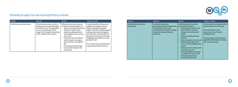

| Activity                        | Approach                                                                                                                                                                                                                                  | <b>Benefits</b>                                                                                                                                                                                                                                                                                                                                                                                                                      | Things to consider                                                                                                                                                                                                                                                                                                                                                                                                  |
|---------------------------------|-------------------------------------------------------------------------------------------------------------------------------------------------------------------------------------------------------------------------------------------|--------------------------------------------------------------------------------------------------------------------------------------------------------------------------------------------------------------------------------------------------------------------------------------------------------------------------------------------------------------------------------------------------------------------------------------|---------------------------------------------------------------------------------------------------------------------------------------------------------------------------------------------------------------------------------------------------------------------------------------------------------------------------------------------------------------------------------------------------------------------|
| Utilise the procurement process | The procurement process can be an<br>effective tool in ensuring the targets<br>of the DSP are met. The organisation<br>can use its buying power to elicit<br>change from its suppliers by inserting<br>certain conditions into contracts. | Utilising the procurement process<br>can help to encourage suppliers to:<br>Sign up to a best practice scheme<br>Improve the safety of their<br>vehicles by adding additional<br>safety equipment (e.g. cameras,<br>sensors etc)<br>Use cleaner more fuel efficient<br>vehicles (newer euro engines,<br>electric vehicles, cycle logistics<br>etc)<br>Prove they are actively trying<br>to reduce their impact on the<br>environment | It may be possible to influence how<br>suppliers work together and how<br>they work towards meeting the<br>targets of the DSP. Developing a good<br>working relationship with suppliers<br>and contractors can be beneficial to<br>all parties involved and can also help<br>to highlight any problems occurring<br>during site visits.<br>Your contract and procurement team<br>may be best positioned to do this. |



| <b>Activity</b>                             | Approach                                                                                                                                                                                            | <b>Benefits</b>                                                                                                                                                                                                                                                                                                                                                                                                                                                                                                                          | Things to consider                                                                                                                                                                                                                                             |
|---------------------------------------------|-----------------------------------------------------------------------------------------------------------------------------------------------------------------------------------------------------|------------------------------------------------------------------------------------------------------------------------------------------------------------------------------------------------------------------------------------------------------------------------------------------------------------------------------------------------------------------------------------------------------------------------------------------------------------------------------------------------------------------------------------------|----------------------------------------------------------------------------------------------------------------------------------------------------------------------------------------------------------------------------------------------------------------|
| Establish joint procurement<br>partnerships | Create joint procurement<br>partnerships with other organisations<br>as this will allow orders to be<br>consolidated at the supplier resulting<br>in larger less frequent deliveries<br>being made. | Establishing joint procurement<br>partnerships will help to:<br>Reduce delivery and fuel costs<br>Ensure delivery / servicing<br>activity is more efficient and<br>reliable<br>Improve air quality and lower<br>emissions<br>Reduce congestion on local roads<br>Reduce parking enforcement<br>costs incurred by illegally parked<br>vehicles<br>Reduce the risk of collisions with<br>vulnerable road users<br>Encourage suppliers to develop<br>new products or invest in new<br>technologies that are less<br>environmentally harmful | The procurement team would be best<br>placed to deliver this DSP target.<br>More information on joint<br>procurement can be found by<br>following the link:<br>http://ec.europa.eu/environment/<br>gpp/pdf/toolkit/module1_factsheet_<br>joint_procurement.pdf |

 $\, \cdot \, \, \cdot \, \, \cdot \, \, \cdot \, \, \cdot \, \, \cdot \, \, \cdot \, \, \cdot \, \, \cdot \, \, \cdot \, \, \cdot \, \, \cdot \, \, \cdot \, \, \cdot \, \, \cdot \, \, \cdot \, \, \cdot \, \, \cdot \, \, \cdot \, \, \cdot \, \, \cdot \, \, \cdot \, \, \cdot \, \, \cdot \, \, \cdot \, \cdot \, \, \cdot \, \cdot \, \cdot \, \cdot \, \cdot \, \cdot \, \cdot \, \cdot \, \cdot \, \cdot \, \cdot \, \cdot \, \cdot \, \cdot \, \cdot \, \cdot \,$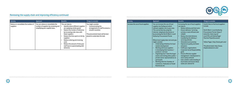

| Activity                                         | Approach                                                                                                     | <b>Benefits</b>                                                                                                                                                                                                                                                                                                                                               | Things to consider                                                                                                                                                        |
|--------------------------------------------------|--------------------------------------------------------------------------------------------------------------|---------------------------------------------------------------------------------------------------------------------------------------------------------------------------------------------------------------------------------------------------------------------------------------------------------------------------------------------------------------|---------------------------------------------------------------------------------------------------------------------------------------------------------------------------|
| Reduce or consolidate the number of<br>suppliers | You can reduce or consolidate the<br>number of suppliers by reviewing and<br>simplifying your supplier base. | This can help to:<br>Identify where different suppliers<br>are supplying similar goods<br>Reduce the number of deliveries<br>by increasing order sizes with<br>fewer suppliers<br>Reduce the time spent on site by<br>suppliers<br>Reduce ordering and invoicing<br>costs<br>Reduce the amount of time your<br>staff have to spend dealing with<br>deliveries | You might consider:<br>Communicating the<br>arrangements to staff to ensure a<br>smooth transition<br>The procurement team will be best<br>placed to undertake this task. |



| Activity                            | Approach                                                                                                                                                                                                                                                                                                                                                                                                                                                                                                                                                                                                                                                                                                         | <b>Benefits</b>                                                                                                                                                                                                                                                                                                                                                                                                                                                                                                                                                                                                                                              | Things to consider                                                                                                                                                                                                                                                                               |
|-------------------------------------|------------------------------------------------------------------------------------------------------------------------------------------------------------------------------------------------------------------------------------------------------------------------------------------------------------------------------------------------------------------------------------------------------------------------------------------------------------------------------------------------------------------------------------------------------------------------------------------------------------------------------------------------------------------------------------------------------------------|--------------------------------------------------------------------------------------------------------------------------------------------------------------------------------------------------------------------------------------------------------------------------------------------------------------------------------------------------------------------------------------------------------------------------------------------------------------------------------------------------------------------------------------------------------------------------------------------------------------------------------------------------------------|--------------------------------------------------------------------------------------------------------------------------------------------------------------------------------------------------------------------------------------------------------------------------------------------------|
| Increase the use of local suppliers | You can increase the use of local<br>suppliers by finding out which<br>relevant suppliers are in your area.<br>This can be done by using the<br>internet, telephone directories or<br>by accessing the North West's Local<br><b>Authority Procurement Portal.</b><br>Where local supply does not exist you<br>might consider:<br>Undertaking initiatives for local<br>market development<br>Working with local suppliers<br>in developing their business /<br>products / services<br>Organising local 'meet the buyer'<br>events and inviting other public /<br>private sector representatives to<br>participate<br>Working with the Chamber of<br><b>Commerce, Federation of Small</b><br><b>Businesses etc</b> | Increasing the use of local suppliers<br>can help to:<br>Reduce delivery and fuel costs<br>Ensure delivery / servicing<br>$\bullet$<br>activity is more efficient and<br>reliable<br>Reduce the total distance<br>$\bullet$<br>travelled by the delivery /<br>servicing vehicles<br>Stimulate local economy<br>Improve air quality and lower<br>emissions<br><b>Fulfill your organisations</b><br>$\bullet$<br><b>Corporate Social Responsibility</b><br>goals<br>Ensure effective supplier<br>$\bullet$<br>management / development is<br>more easily achieved<br>Gain a better understanding of<br>local tastes and ensure these<br>tastes are catered for | Useful links to find local suppliers<br>include:<br><b>North West's Local Authority</b><br>Procurement Portal: https://<br>www.the-chest.org.uk/<br>cms/CMS.nsf/vHomePage/<br>fSection?OpenDocument<br>Yellow Pages: http://www.yell.com/<br>The phone book: http://www.<br>thephonebook.bt.com/ |

 $\, \cdot \, \, \cdot \, \, \cdot \, \, \cdot \, \, \cdot \, \, \cdot \, \, \cdot \, \, \cdot \, \, \cdot \, \, \cdot \, \, \cdot \, \, \cdot \, \, \cdot \, \, \cdot \, \, \cdot \, \, \cdot \, \, \cdot \, \, \cdot \, \, \cdot \, \, \cdot \, \, \cdot \, \, \cdot \, \, \cdot \, \, \cdot \, \, \cdot \, \cdot \, \, \cdot \, \cdot \, \cdot \, \cdot \, \cdot \, \cdot \, \cdot \, \cdot \, \cdot \, \cdot \, \cdot \, \cdot \, \cdot \, \cdot \, \cdot \, \cdot \,$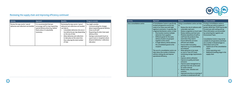| Activity                                                                  | Approach                                                                                                                                              | <b>Benefits</b>                                                                                                                                                                                                                                                                                                     | Things to consider                                                                                                                                                                                                                                                                          |
|---------------------------------------------------------------------------|-------------------------------------------------------------------------------------------------------------------------------------------------------|---------------------------------------------------------------------------------------------------------------------------------------------------------------------------------------------------------------------------------------------------------------------------------------------------------------------|---------------------------------------------------------------------------------------------------------------------------------------------------------------------------------------------------------------------------------------------------------------------------------------------|
| Review the way courier / parcel<br>deliveries and collections are handled | It is recommended that you<br>encourage staff to stop requesting<br>special delivery times (e.g. before<br>9am) unless it is absolutely<br>necessary. | Reviewing the way courier / parcel<br>deliveries and collections are handled<br>can help to:<br>Consolidate deliveries into one or<br>two deliveries per day (depending<br>on the size of site)<br>Allow deliveries and collections<br>to take place at the same time<br>thus reducing the total number<br>of trips | You might consider:<br>Communicating the changes<br>about requesting special delivery<br>times to all staff<br>Requesting all orders have open<br>delivery times<br>Having a central point (such as<br>a post room or reception) where<br>all parcel deliveries / collections<br>take place |



| Activity                   | Approach                                                                                                                                                                                                                                                                                                                                                                                                                                                                                                                                                                                               | <b>Benefits</b>                                                                                                                                                                                                                                                                                                                                                                                                                                                                                                                                                                                                                                                                                                                                                                                                                                                                                                | Things to consider                                                                                                                                                                                                                                                                                                                                                                                                                                                                                                                   |
|----------------------------|--------------------------------------------------------------------------------------------------------------------------------------------------------------------------------------------------------------------------------------------------------------------------------------------------------------------------------------------------------------------------------------------------------------------------------------------------------------------------------------------------------------------------------------------------------------------------------------------------------|----------------------------------------------------------------------------------------------------------------------------------------------------------------------------------------------------------------------------------------------------------------------------------------------------------------------------------------------------------------------------------------------------------------------------------------------------------------------------------------------------------------------------------------------------------------------------------------------------------------------------------------------------------------------------------------------------------------------------------------------------------------------------------------------------------------------------------------------------------------------------------------------------------------|--------------------------------------------------------------------------------------------------------------------------------------------------------------------------------------------------------------------------------------------------------------------------------------------------------------------------------------------------------------------------------------------------------------------------------------------------------------------------------------------------------------------------------------|
| Use a consolidation centre | A Consolidation Centre is specifically<br>located and geared to service the<br>needs of an urban area with tight<br>logistical constraints. It operates like<br>a regional distribution centre, in that:<br>One location receives multiple<br>deliveries from suppliers<br>Different goods for the same<br>delivery location are grouped<br>together at the centre<br>A single delivery vehicle delivers<br>the consolidated goods to the<br>recipient<br>The use of a consolidation centre can<br>help reduce the number of delivery<br>vehicles visiting site and improve<br>operational efficiency. | Using a consolidation centre can help<br>to:<br>Reduce the risk of collisions with<br>$\bullet$<br>vulnerable road users<br>Reduce congestion on local roads<br>$\bullet$<br>Reduce delivery and fuel costs<br>$\bullet$<br>Minimise downtime of staff as<br>$\bullet$<br>staff have the products they<br>need when they need it<br>Ensure deliveries are more<br>efficient and reliable<br><b>Ensure wider local policy</b><br>$\bullet$<br>objectives e.g. on sustainability<br>are achieved<br>Allow deliveries to be made<br>$\bullet$<br>on Just In Time (JIT) basis<br>minimising storage requirements<br>on site<br>Improve vehicle utilisation<br>Improve air quality and lower<br>emissions<br>Improve waste management as<br>journeys from site can be used<br>for waste removal<br>Reduce noise, vibration and<br>nuisance<br>Improved security as screening of<br>activities is conducted off-site | If using a consolidation centre is<br>an activity you wish to explore in<br>greater detail then TfGM may be able<br>to assist you with setting one up.<br>More information can be provided<br>by contacting the Logistics and<br><b>Environment Team.</b><br>Consolidation Centre's may not be<br>suitable for all operations and there<br>are a number of disadvantages to<br>think about such as the:<br>Capital cost of the consolidation<br>centre<br>Centre operating costs<br>Additional handling stage in the<br>supply chain |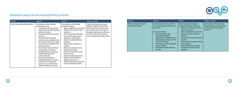

| Activity                             | Approach                                                                                                                                                                                                                                                                                                                                                                                                                                                                                                                                                                                                                                                                                                                                                                   | <b>Benefits</b>                                                                                                                                                                                                                                                                                                                                                                                                                                                                                                                                                                                                                                                                                                                    | Things to consider                                                                                                                                                                                                                                                  |
|--------------------------------------|----------------------------------------------------------------------------------------------------------------------------------------------------------------------------------------------------------------------------------------------------------------------------------------------------------------------------------------------------------------------------------------------------------------------------------------------------------------------------------------------------------------------------------------------------------------------------------------------------------------------------------------------------------------------------------------------------------------------------------------------------------------------------|------------------------------------------------------------------------------------------------------------------------------------------------------------------------------------------------------------------------------------------------------------------------------------------------------------------------------------------------------------------------------------------------------------------------------------------------------------------------------------------------------------------------------------------------------------------------------------------------------------------------------------------------------------------------------------------------------------------------------------|---------------------------------------------------------------------------------------------------------------------------------------------------------------------------------------------------------------------------------------------------------------------|
| Review the waste handling activities | Reviewing your waste handling<br>activities can include:<br>Conducting a site audit and risk<br>$\bullet$<br>assessment of all waste handling<br>facilities / locations<br>Reviewing internal procurement<br>$\bullet$<br>practices<br>Assessing if different waste<br>$\bullet$<br>streams can be consolidated onto<br>one collection vehicle (e.g. collect<br>food waste and recyclable waste<br>at the same time)<br>Determining if waste collections<br>$\bullet$<br>can take place out-of-hours<br>Identifying if you can backload<br>$\bullet$<br>suppliers with waste from<br>previous deliveries<br>Assessing if having waste<br>handling equipment on site (e.g.<br>compactors) can help speed<br>up the process and reduce the<br>number of collections required | Reviewing the waste handling<br>activities will help to:<br>Reduce congestion on local roads<br>Minimise the number of waste<br>$\bullet$<br>collections<br>Improve operational efficiency<br>$\bullet$<br>Save costs through contract<br>$\bullet$<br>negotiation with suppliers<br>Improve air quality and lower<br>$\bullet$<br>emissions<br>Reduce noise, vibration and<br>$\bullet$<br>nuisance<br>Reduce the amount of waste<br>$\bullet$<br>disposed of at landfill<br>Increase the amount of waste<br>$\bullet$<br>that is recycled<br>Improve housekeeping on site<br>Reduce the amount of time<br>$\bullet$<br>suppliers spend on site<br>Minimise the distance staff have<br>$\bullet$<br>to travel to dispose of waste | Contact other businesses in your<br>building / neighbourhood and ask<br>them which waste contractors they<br>are currently using. There may be<br>the opportunity to procure the same<br>service providers which could cut<br>costs and reduce the number of trips. |





| Activity                                              | Approach                                                                                                                                                                                                                                                                                                                                                                      | <b>Benefits</b>                                                                                                                                                                                                                                                                                                                                                                                                             | Things to consider                                                                                                        |
|-------------------------------------------------------|-------------------------------------------------------------------------------------------------------------------------------------------------------------------------------------------------------------------------------------------------------------------------------------------------------------------------------------------------------------------------------|-----------------------------------------------------------------------------------------------------------------------------------------------------------------------------------------------------------------------------------------------------------------------------------------------------------------------------------------------------------------------------------------------------------------------------|---------------------------------------------------------------------------------------------------------------------------|
| Better manage servicing and<br>maintenance activities | You should consider how and when<br>routine servicing and maintenance is<br>done at site.<br>It may be possible to:<br>Have maintenance work<br>requested by different<br>departments / building tenants /<br>neighbouring businesses carried<br>out on the same day<br>Have these activities undertaken<br>by local suppliers<br>Have these activities done out-<br>of-hours | Better managing servicing and<br>maintenance activities will help to:<br>Reduce the number of servicing<br>vehicles visiting site<br>Reduce congestion on local roads<br>Improve air quality and lower<br>emissions<br>Encourage best practice amongst<br>suppliers<br>Stimulate local economy (if using<br>$\bullet$<br>local suppliers)<br>Reduce the distance travelled<br>by the delivery vehicles (local<br>suppliers) | Security may be able to assist by<br>letting engineers into the building<br>and overseeing the work being<br>carried out. |

 $\, \cdot \, \, \cdot \, \, \cdot \, \, \cdot \, \, \cdot \, \, \cdot \, \, \cdot \, \, \cdot \, \, \cdot \, \, \cdot \, \, \cdot \, \, \cdot \, \, \cdot \, \, \cdot \, \, \cdot \, \, \cdot \, \, \cdot \, \, \cdot \, \, \cdot \, \, \cdot \, \, \cdot \, \, \cdot \, \, \cdot \, \, \cdot \, \, \cdot \, \cdot \, \, \cdot \, \cdot \, \cdot \, \cdot \, \cdot \, \cdot \, \cdot \, \cdot \, \cdot \, \cdot \, \cdot \, \cdot \, \cdot \, \cdot \, \cdot \, \cdot \,$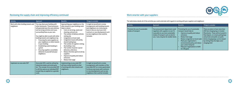

# Reviewing the supply chain and improving efficiency continued Work smarter with your suppliers Work smarter with your suppliers

| Activity                                           | Approach                                                                                                                                                                                                                                                                                                                                                                                                                                                                                                               | <b>Benefits</b>                                                                                                                                                                                                                                                                                                                                                                                                                                                                                                                                                                                   | Things to consider                                                                                                                                                                                                                   |
|----------------------------------------------------|------------------------------------------------------------------------------------------------------------------------------------------------------------------------------------------------------------------------------------------------------------------------------------------------------------------------------------------------------------------------------------------------------------------------------------------------------------------------------------------------------------------------|---------------------------------------------------------------------------------------------------------------------------------------------------------------------------------------------------------------------------------------------------------------------------------------------------------------------------------------------------------------------------------------------------------------------------------------------------------------------------------------------------------------------------------------------------------------------------------------------------|--------------------------------------------------------------------------------------------------------------------------------------------------------------------------------------------------------------------------------------|
| Work with other building tenants and<br>neighbours | You may share your building with<br>other businesses. These businesses<br>will generally have the same delivery<br>and servicing activities and issues<br>surrounding these as your own.<br>You might be able to work with other<br>building tenants and neighbours by:<br>Procuring the same suppliers as<br>your neighbours or other tenants<br>in your building<br>Establishing a joint booking in<br>$\bullet$<br>system<br><b>Ensuring suppliers consolidate</b><br>deliveries to yourself and your<br>neighbours | Approaching your neighbours or the<br>other tenants in your building could<br>help to reduce:<br>Costs on servicing, waste and<br>cleaning contracts etc<br>The number of delivery vehicles<br>$\bullet$<br>visiting site<br>Congestion on local roads<br>$\bullet$<br>Congestion issues with jointly<br>$\bullet$<br>shared loading bays<br>The number of suppliers visiting<br>the building / area<br>The number of postal / parcel<br>deliveries collections<br>Reduce the time spent on site by<br>$\bullet$<br>suppliers<br>Improve air quality and reduce<br>emissions<br>Reduce fuel usage | It might be beneficial to review<br>arrangements with building tenants<br>and neighbours on a twice yearly<br>basis to discuss any issues with<br>contracts or new developments such<br>as new neighbours that could be<br>included. |
| Implement an area wide DSP                         | Area wide DSPs could be utilised by<br>industrial estates and retail parks<br>etc. The concept of an area wide DSP<br>is still the same as an individual DSP<br>except they are applied on a grander<br>scale.                                                                                                                                                                                                                                                                                                         | Implementing an area wide DSP<br>will have similar benefits to that<br>of working with other tenants and<br>neighbours.                                                                                                                                                                                                                                                                                                                                                                                                                                                                           | It might be beneficial to review<br>arrangements with members of the<br>area wide DSP on a twice yearly basis<br>to discuss any issues with contracts<br>or new developments such as new<br>neighbours that could be included.       |





The table below details all of the activities you could undertake with regards to working with your suppliers and neighbours

| <b>Activity</b>                                      | Approach                                                                                                                                                                                             | <b>Benefits</b>                                                                                                                                                                                                                                                                                                    | Things to consider                                                                                                                                                                                                                                                                    |
|------------------------------------------------------|------------------------------------------------------------------------------------------------------------------------------------------------------------------------------------------------------|--------------------------------------------------------------------------------------------------------------------------------------------------------------------------------------------------------------------------------------------------------------------------------------------------------------------|---------------------------------------------------------------------------------------------------------------------------------------------------------------------------------------------------------------------------------------------------------------------------------------|
| Promote the use of sustainable<br>modes of transport | Your procurement department could<br>negotiate with suppliers to see if it<br>is possible to use more sustainable<br>modes of transport such as electric<br>cars / vans, bicycles for smaller items. | Promoting the use of sustainable<br>transport would help to:<br>Improve air quality and reduce<br>emissions<br>Reduce fuel usage<br>Reduce congestion on local roads<br>Meet your organisation's<br>environmental policy and reduce<br>your carbon footprint<br>Help your organisation to fulfill<br>its CSR goals | There are plans to have more than<br>200 fast charging bays in Greater<br>Manchester. These will be located in<br>fleet depots, on-street parking bays<br>and private and public car parks.<br>Active charging bays can be viewed<br>by visiting http://ev.tfgm.com/<br>charging.html |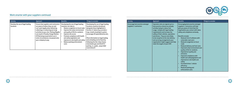

| Activity                                             | Approach                                                                                                                                                                                                                                                                                                                                      | <b>Benefits</b>                                                                                                                                                                                                                                                                                                                                         | Things to consider                                                                                                                                                                                                                                                                                                                                                                                                |
|------------------------------------------------------|-----------------------------------------------------------------------------------------------------------------------------------------------------------------------------------------------------------------------------------------------------------------------------------------------------------------------------------------------|---------------------------------------------------------------------------------------------------------------------------------------------------------------------------------------------------------------------------------------------------------------------------------------------------------------------------------------------------------|-------------------------------------------------------------------------------------------------------------------------------------------------------------------------------------------------------------------------------------------------------------------------------------------------------------------------------------------------------------------------------------------------------------------|
| Develop the use of legal loading<br><b>locations</b> | Ensure that suppliers and contractors<br>are aware of where they can and<br>can't park legally when delivering,<br>collecting or conducting servicing<br>activities at your site. Parking illegally<br>can result in Penalty Charge Notices<br>(PCNs) being issued which can in<br>some circumstances, be passed onto<br>your company to pay. | Developing the use of legal loading<br>locations can help to:<br>Reduce congestion on local roads<br>Improve the urban environment<br>$\bullet$<br>and quality of life for residents<br>Improve site access<br>Promote compliance with health<br>and safety legislation and<br>improve on-site health and safety<br>Reduce parking enforcement<br>costs | Developing the use of legal loading<br>locations could be introduced<br>alongside those highlighted in<br>Section 4.1 above (e.g. provide a<br>map, install a booking in system,<br>encourage off-peak deliveries etc).<br>More information on legal loading<br>and unloading can be found by<br>following the link: http://www.<br>manchester.gov.uk/info/471/<br>parking_in_public_areas/328/<br>restrictions/4 |



| Activity                                                   | Approach                                                                                                                                                                                                                                                                                                                                                                                                   | <b>Benefits</b>                                                                                                                                                                                                                                                                                                                                                                                                                                                                                                                                                                                                                                                                                | Things to consider |
|------------------------------------------------------------|------------------------------------------------------------------------------------------------------------------------------------------------------------------------------------------------------------------------------------------------------------------------------------------------------------------------------------------------------------------------------------------------------------|------------------------------------------------------------------------------------------------------------------------------------------------------------------------------------------------------------------------------------------------------------------------------------------------------------------------------------------------------------------------------------------------------------------------------------------------------------------------------------------------------------------------------------------------------------------------------------------------------------------------------------------------------------------------------------------------|--------------------|
| Encourage best practice amongst<br>suppliers / contractors | Operators who are signed up to a<br>best practice scheme are already<br>actively trying to reduce fuel<br>usage, comply with legal loading<br>requirements and increase the<br>safety of their vehicles, operations<br>and drivers. They are more likely<br>to be receptive to the new delivery<br>and servicing arrangements your<br>organisation might suggest and help<br>meet the targets of your DSP. | Encouraging best practice amongst<br>suppliers / contractors will help<br>give you peace of mind that the<br>organisation you contact with takes<br>safety and compliance seriously.<br><b>Benefits include:</b><br>Reduced risk of collisions with<br>$\bullet$<br>vulnerable road users<br>Reduced congestion on local<br>$\bullet$<br>roads<br>Reduced delivery and fuel costs<br>Improved urban environment and<br>quality of life for residents<br>Improved air quality and<br>emissions<br>Improved compliance with<br>health and safetylegislation and<br>improved on-site health and<br>safety<br>Increased driver / vehicle<br>efficiency<br>Reduced parking and<br>enforcement costs |                    |

 $\, \cdot \, \, \cdot \, \, \cdot \, \, \cdot \, \, \cdot \, \, \cdot \, \, \cdot \, \, \cdot \, \, \cdot \, \, \cdot \, \, \cdot \, \, \cdot \, \, \cdot \, \, \cdot \, \, \cdot \, \, \cdot \, \, \cdot \, \, \cdot \, \, \cdot \, \, \cdot \, \, \cdot \, \, \cdot \, \, \cdot \, \, \cdot \, \, \cdot \, \, \cdot \, \, \cdot \, \, \cdot \, \, \cdot \, \, \cdot \, \, \cdot \, \, \cdot \, \, \cdot \, \, \cdot \, \, \cdot \, \cdot \, \cdot \, \cdot$ 

# Work smarter with your suppliers continued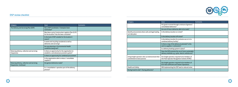

| <b>Category</b>                                                       | <b>Issue</b>                                                                                      | <b>Comments</b> |
|-----------------------------------------------------------------------|---------------------------------------------------------------------------------------------------|-----------------|
| The Delivery and Servicing Plan (DSP)                                 | Has a DSP Coordinator / Champion been<br>nominated?                                               |                 |
|                                                                       | Was there a prior Construction Logistics Plan (CLP)<br>for the location? Has this been consulted? |                 |
|                                                                       | Is the level of DSP suitable for the location it<br>covers?                                       |                 |
|                                                                       | Is waste and recycling considered as well as<br>deliveries and servicing?                         |                 |
|                                                                       | Are any planning or Environmental Health<br>conditions being met?                                 |                 |
| Reducing delivery, collection and servicing<br>frequencies            | Is there an opportunity for the organisation to<br>establish a centralised procurement system?    |                 |
|                                                                       | Is there an opportunity for combined procurement                                                  |                 |
|                                                                       | Is the organisation able to reduce / consolidate<br>suppliers?                                    |                 |
| Reducing delivery, collection and servicing<br>frequencies. Continued | Are general deliveries made?                                                                      |                 |
|                                                                       | Is a 'consolidation' operation part of the delivery<br>process?                                   |                 |





| <b>Category</b>                                                                  | <b>Issue</b>                                                                                             | <b>Comments</b> |
|----------------------------------------------------------------------------------|----------------------------------------------------------------------------------------------------------|-----------------|
|                                                                                  | Are goods received through a mixture of general /<br>consolidated deliveries?                            |                 |
|                                                                                  | Are out-of-hours deliveries able to be made?                                                             |                 |
| Identify and promote where safe and legal loading<br>can take place              | Is the delivery location on-street?                                                                      |                 |
|                                                                                  | Is the delivery location off-street?                                                                     |                 |
|                                                                                  | Is the delivery location for exclusive use or is it a<br>combined delivery facility?                     |                 |
|                                                                                  | Is there a map of the delivery location(s)? Is this<br>sent to suppliers / contractors?                  |                 |
|                                                                                  | Is a delivery booking system in place?                                                                   |                 |
|                                                                                  | Does the DSP promote the use of more sustainable<br>delivery methods e.g. cycles, electric vehicles etc? |                 |
| Using freight operators who can demonstrate their<br>commitment to best practice | Are freight operators required to be members of<br>the Fleet Operator Recognition Scheme (FORS)          |                 |
|                                                                                  | Are freight operators required to be members of<br><b>ECO Stars (Efficient and Cleaner Operations</b>    |                 |
| <b>Health and Safety</b>                                                         | Will implementing the DSP lead to reduced noise:                                                         |                 |
| During travel to site? / During deliveries?                                      |                                                                                                          |                 |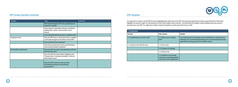

### DSP review checklist continued DSP template DSP template

| Category                         | <b>Issue</b>                                                                                                          | <b>Comments</b> |
|----------------------------------|-----------------------------------------------------------------------------------------------------------------------|-----------------|
|                                  | Will implementing the DSP reduce pollution and<br>improve air quality?                                                |                 |
|                                  | Is the safety of vulnerable road users considered<br>(pedestrians, cyclists, motor-cyclists, horse<br>riders)?        |                 |
|                                  | Is the identified delivery location considered safe?                                                                  |                 |
| Ongoing activity                 | Does the DSP have an action plan which is updated<br>continually throughout the lifetime of the DSP?                  |                 |
|                                  | How is the DSP to be monitored?                                                                                       |                 |
|                                  | Have formal reviews been set for any Planning or<br><b>Environmental Health conditions?</b>                           |                 |
| <b>Municipality requirements</b> | Does the DSP document meet planning conditions<br>that have been set?                                                 |                 |
|                                  | Does the DSP document address Highways and<br>Transportation, including Sustainable Travel and<br>Road Safety issues? |                 |
|                                  | Does the DSP document meet any other<br>Municipality statutory or discretionary<br>requirements?                      |                 |





It is important to create a central DSP document highlighting the objectives of the DSP. This document should also include a copy of the Action Plan which highlights the specific targets for improvement and how these targets will be achieved. The following DSP template could be adopted when you come to document your own DSP. You might also consider using this template as a policy document for your staff.

| 1. Introduction                      |                                                                                                   |                                                                                                                                                                                                          |
|--------------------------------------|---------------------------------------------------------------------------------------------------|----------------------------------------------------------------------------------------------------------------------------------------------------------------------------------------------------------|
| <b>Section</b>                       | Sub-section                                                                                       | <b>Details</b>                                                                                                                                                                                           |
| 1.1. Establishing the need for a DSP | 1.1.1 Why are you creating a<br>DSP?                                                              | E.g. A delivery and servicing plan must be submitted to, and approved in<br>writing by, the Local Planning Authority prior to the development hereby<br>approved commencing (save for demolition works). |
| 1.2. Details of site DSP will cover  | 1.2.1 Size of site                                                                                |                                                                                                                                                                                                          |
|                                      | 1.2.2 Number of buildings                                                                         |                                                                                                                                                                                                          |
|                                      | 1.2.3 Map of site                                                                                 |                                                                                                                                                                                                          |
|                                      | 1.2.4 Details of surrounding<br>road network including parking<br>restrictions (where applicable) |                                                                                                                                                                                                          |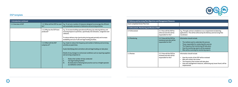



| 1. Introduction continued |                                         |                                                                                                                                                                                          |
|---------------------------|-----------------------------------------|------------------------------------------------------------------------------------------------------------------------------------------------------------------------------------------|
| 1.3. Overview of DSP      | 1.3.1 What will the DSP be used<br>for? | E.g. To set out a number of measures designed to encourage the efficient<br>and sustainable movement of deliveries and servicing activities                                              |
|                           | 1.3.2 Why has the DSP been<br>produced? | E.g. To increase building operational efficiency by reducing delivery and<br>servicing impacts to premises, specifically CO2 emissions, congestion and<br>collisions.                    |
|                           |                                         | To reduce delivery trips (particularly during peak periods) and increase<br>availability and use of safe and legal loading facilities.                                                   |
|                           | 1.3.3 What will the DSP<br>comprise of? | E.g. A plan to reduce the frequency and number of delivery and servicing<br>activities at peak times                                                                                     |
|                           |                                         | A plan Identifying when and where safe and legal loading can take place                                                                                                                  |
|                           |                                         | Details of any changes to contractual conditions such as requiring suppliers<br>and servicing companies to:                                                                              |
|                           |                                         | Reduce the number of trips conducted<br>т.<br>Use legal loading facilities<br>II.<br>III.<br>Be dedicated to following best practice such as a freight operator<br>accreditation scheme. |

| 2. Delivery and Servicing Plan Objectives and Management Measures |                                                                                 |                                                                                                                                                                                                                                                                                                      |  |
|-------------------------------------------------------------------|---------------------------------------------------------------------------------|------------------------------------------------------------------------------------------------------------------------------------------------------------------------------------------------------------------------------------------------------------------------------------------------------|--|
| Insert completed Action Plan here                                 |                                                                                 |                                                                                                                                                                                                                                                                                                      |  |
| 3. Enforcement, Monitoring and Review of DSP                      |                                                                                 |                                                                                                                                                                                                                                                                                                      |  |
| 3.1 Enforcement                                                   | 3.1.1 How will the DSP be<br>enforced and who will be<br>responsible for this?  | E.g. Through contract compliance or as a requirement of planning<br>applications. This will be enforced by the Delivery and Servicing Plan<br>Coordinator                                                                                                                                            |  |
| 3.2 Monitoring                                                    | 3.2.1 How will the DSP be<br>monitored and who will be<br>responsible for this? | Information should include:<br>The method used to undertake this process<br>$\bullet$<br>Those responsible for conducting this exercise<br>The frequency that monitoring will take place<br>How the monitoring reports will be prepared<br>Who will be receiving the monitoring reports<br>$\bullet$ |  |
| 3.3 Review                                                        | 3.3.1 How will the DSP be<br>reviewed and who will be<br>responsible for this?  | Information should include:<br>How the results of the DSP will be reviewed<br>$\bullet$<br>Who will conduct the review<br>The frequency that reviews will take place<br>$\bullet$<br>How new management measures, addressing any issues found, will be<br>$\bullet$<br>implemented                   |  |



### DSP template